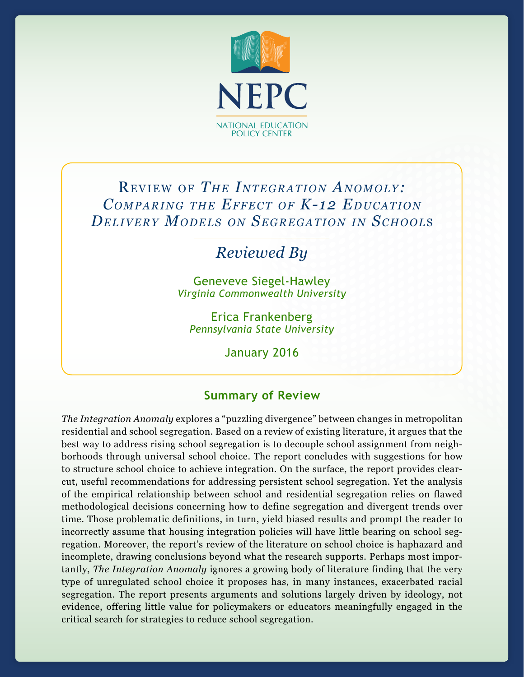

# REVIEW OF *THE INTEGRATION ANOMOLY*: *COMPARING THE EFFECT OF K-12 EDUCATION De liv e r y Mo d e l s o n Se g r e g atio n in Sch o o l*<sup>s</sup>

*Reviewed By*

Geneveve Siegel-Hawley *Virginia Commonwealth University*

Erica Frankenberg *Pennsylvania State University*

January 2016

# **Summary of Review**

*The Integration Anomaly* explores a "puzzling divergence" between changes in metropolitan residential and school segregation. Based on a review of existing literature, it argues that the best way to address rising school segregation is to decouple school assignment from neighborhoods through universal school choice. The report concludes with suggestions for how to structure school choice to achieve integration. On the surface, the report provides clearcut, useful recommendations for addressing persistent school segregation. Yet the analysis of the empirical relationship between school and residential segregation relies on flawed methodological decisions concerning how to define segregation and divergent trends over time. Those problematic definitions, in turn, yield biased results and prompt the reader to incorrectly assume that housing integration policies will have little bearing on school segregation. Moreover, the report's review of the literature on school choice is haphazard and incomplete, drawing conclusions beyond what the research supports. Perhaps most importantly, *The Integration Anomaly* ignores a growing body of literature finding that the very type of unregulated school choice it proposes has, in many instances, exacerbated racial segregation. The report presents arguments and solutions largely driven by ideology, not evidence, offering little value for policymakers or educators meaningfully engaged in the critical search for strategies to reduce school segregation.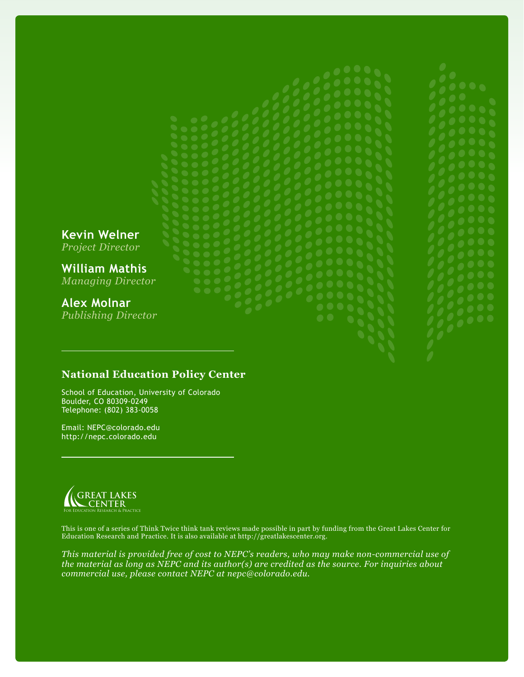# **Kevin Welner** *Project Director* **William Mathis** *Managing Director* **Alex Molnar** *Publishing Director*

**National Education Policy Center**

School of Education, University of Colorado Boulder, CO 80309-0249 Telephone: (802) 383-0058

Email: NEPC@colorado.edu http://nepc.colorado.edu



This is one of a series of Think Twice think tank reviews made possible in part by funding from the Great Lakes Center for Education Research and Practice. It is also available at http://greatlakescenter.org.

*This material is provided free of cost to NEPC's readers, who may make non-commercial use of the material as long as NEPC and its author(s) are credited as the source. For inquiries about commercial use, please contact NEPC at nepc@colorado.edu.*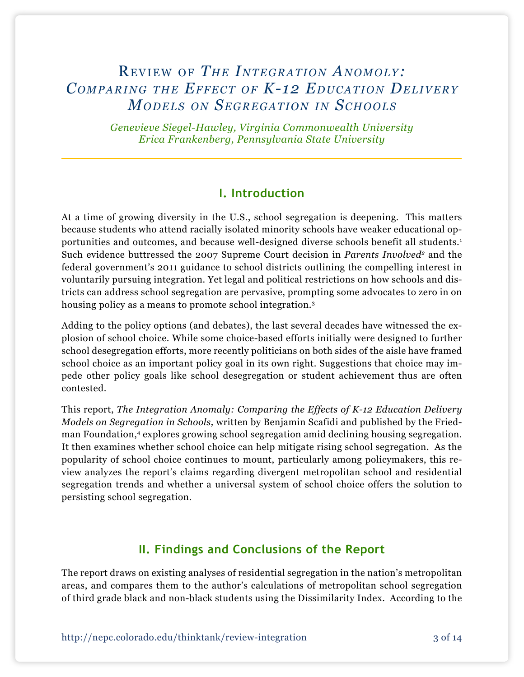# REVIEW OF *THE INTEGRATION ANOMOLY*: *COMPARING THE EFFECT OF K-12 EDUCATION DELIVERY MODELS ON SEGREGATION IN SCHOOLS*

*Genevieve Siegel-Hawley, Virginia Commonwealth University Erica Frankenberg, Pennsylvania State University* 

# **I. Introduction**

At a time of growing diversity in the U.S., school segregation is deepening. This matters because students who attend racially isolated minority schools have weaker educational opportunities and outcomes, and because well-designed diverse schools benefit all students.<sup>1</sup> Such evidence buttressed the 2007 Supreme Court decision in *Parents Involved<sup>2</sup>* and the federal government's 2011 guidance to school districts outlining the compelling interest in voluntarily pursuing integration. Yet legal and political restrictions on how schools and districts can address school segregation are pervasive, prompting some advocates to zero in on housing policy as a means to promote school integration.<sup>3</sup>

Adding to the policy options (and debates), the last several decades have witnessed the explosion of school choice. While some choice-based efforts initially were designed to further school desegregation efforts, more recently politicians on both sides of the aisle have framed school choice as an important policy goal in its own right. Suggestions that choice may impede other policy goals like school desegregation or student achievement thus are often contested.

This report, *The Integration Anomaly: Comparing the Effects of K-12 Education Delivery Models on Segregation in Schools,* written by Benjamin Scafidi and published by the Friedman Foundation,4 explores growing school segregation amid declining housing segregation. It then examines whether school choice can help mitigate rising school segregation. As the popularity of school choice continues to mount, particularly among policymakers, this review analyzes the report's claims regarding divergent metropolitan school and residential segregation trends and whether a universal system of school choice offers the solution to persisting school segregation.

# **II. Findings and Conclusions of the Report**

The report draws on existing analyses of residential segregation in the nation's metropolitan areas, and compares them to the author's calculations of metropolitan school segregation of third grade black and non-black students using the Dissimilarity Index. According to the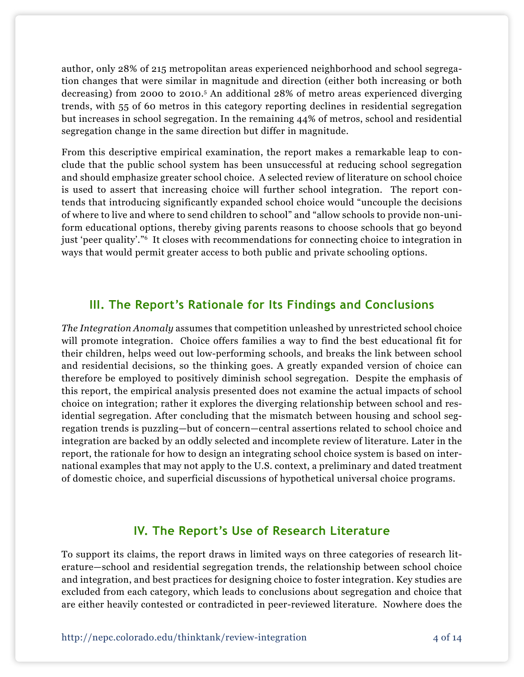author, only 28% of 215 metropolitan areas experienced neighborhood and school segregation changes that were similar in magnitude and direction (either both increasing or both decreasing) from 2000 to 2010.5 An additional 28% of metro areas experienced diverging trends, with 55 of 60 metros in this category reporting declines in residential segregation but increases in school segregation. In the remaining 44% of metros, school and residential segregation change in the same direction but differ in magnitude.

From this descriptive empirical examination, the report makes a remarkable leap to conclude that the public school system has been unsuccessful at reducing school segregation and should emphasize greater school choice. A selected review of literature on school choice is used to assert that increasing choice will further school integration. The report contends that introducing significantly expanded school choice would "uncouple the decisions of where to live and where to send children to school" and "allow schools to provide non-uniform educational options, thereby giving parents reasons to choose schools that go beyond just 'peer quality'."6 It closes with recommendations for connecting choice to integration in ways that would permit greater access to both public and private schooling options.

## **III. The Report's Rationale for Its Findings and Conclusions**

*The Integration Anomaly* assumes that competition unleashed by unrestricted school choice will promote integration. Choice offers families a way to find the best educational fit for their children, helps weed out low-performing schools, and breaks the link between school and residential decisions, so the thinking goes. A greatly expanded version of choice can therefore be employed to positively diminish school segregation. Despite the emphasis of this report, the empirical analysis presented does not examine the actual impacts of school choice on integration; rather it explores the diverging relationship between school and residential segregation. After concluding that the mismatch between housing and school segregation trends is puzzling—but of concern—central assertions related to school choice and integration are backed by an oddly selected and incomplete review of literature. Later in the report, the rationale for how to design an integrating school choice system is based on international examples that may not apply to the U.S. context, a preliminary and dated treatment of domestic choice, and superficial discussions of hypothetical universal choice programs.

# **IV. The Report's Use of Research Literature**

To support its claims, the report draws in limited ways on three categories of research literature—school and residential segregation trends, the relationship between school choice and integration, and best practices for designing choice to foster integration. Key studies are excluded from each category, which leads to conclusions about segregation and choice that are either heavily contested or contradicted in peer-reviewed literature. Nowhere does the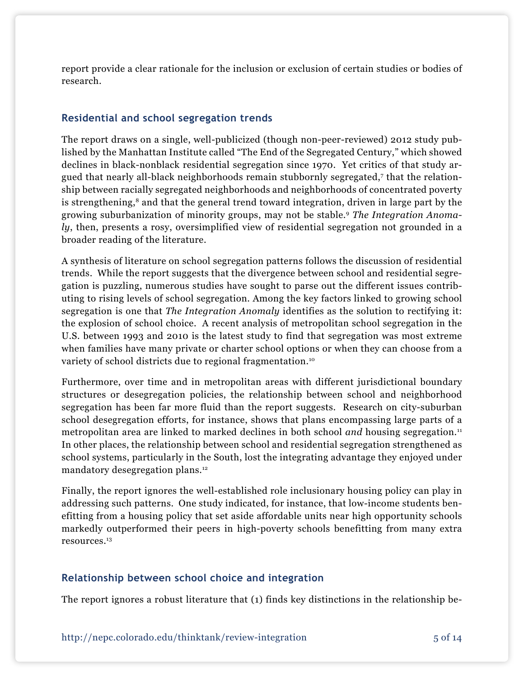report provide a clear rationale for the inclusion or exclusion of certain studies or bodies of research.

#### **Residential and school segregation trends**

The report draws on a single, well-publicized (though non-peer-reviewed) 2012 study published by the Manhattan Institute called "The End of the Segregated Century," which showed declines in black-nonblack residential segregation since 1970. Yet critics of that study argued that nearly all-black neighborhoods remain stubbornly segregated,7 that the relationship between racially segregated neighborhoods and neighborhoods of concentrated poverty is strengthening,<sup>8</sup> and that the general trend toward integration, driven in large part by the growing suburbanization of minority groups, may not be stable.9 *The Integration Anomaly*, then, presents a rosy, oversimplified view of residential segregation not grounded in a broader reading of the literature.

A synthesis of literature on school segregation patterns follows the discussion of residential trends. While the report suggests that the divergence between school and residential segregation is puzzling, numerous studies have sought to parse out the different issues contributing to rising levels of school segregation. Among the key factors linked to growing school segregation is one that *The Integration Anomaly* identifies as the solution to rectifying it: the explosion of school choice. A recent analysis of metropolitan school segregation in the U.S. between 1993 and 2010 is the latest study to find that segregation was most extreme when families have many private or charter school options or when they can choose from a variety of school districts due to regional fragmentation.<sup>10</sup>

Furthermore, over time and in metropolitan areas with different jurisdictional boundary structures or desegregation policies, the relationship between school and neighborhood segregation has been far more fluid than the report suggests. Research on city-suburban school desegregation efforts, for instance, shows that plans encompassing large parts of a metropolitan area are linked to marked declines in both school *and* housing segregation.<sup>11</sup> In other places, the relationship between school and residential segregation strengthened as school systems, particularly in the South, lost the integrating advantage they enjoyed under mandatory desegregation plans.12

Finally, the report ignores the well-established role inclusionary housing policy can play in addressing such patterns. One study indicated, for instance, that low-income students benefitting from a housing policy that set aside affordable units near high opportunity schools markedly outperformed their peers in high-poverty schools benefitting from many extra resources.13

#### **Relationship between school choice and integration**

The report ignores a robust literature that (1) finds key distinctions in the relationship be-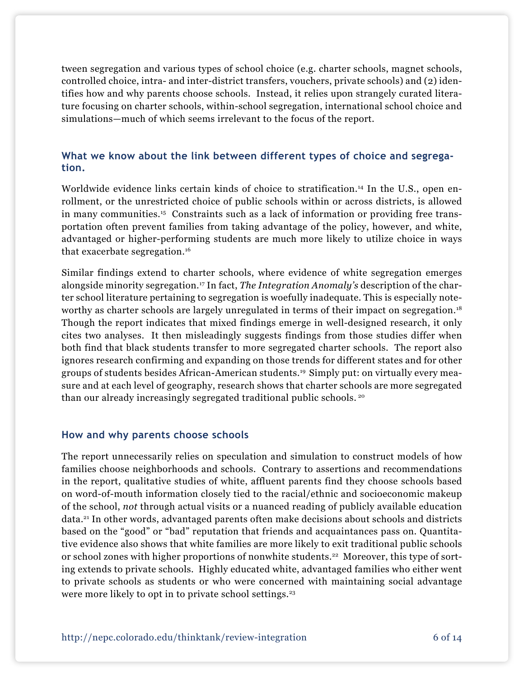tween segregation and various types of school choice (e.g. charter schools, magnet schools, controlled choice, intra- and inter-district transfers, vouchers, private schools) and (2) identifies how and why parents choose schools. Instead, it relies upon strangely curated literature focusing on charter schools, within-school segregation, international school choice and simulations—much of which seems irrelevant to the focus of the report.

#### **What we know about the link between different types of choice and segregation.**

Worldwide evidence links certain kinds of choice to stratification.<sup>14</sup> In the U.S., open enrollment, or the unrestricted choice of public schools within or across districts, is allowed in many communities.15 Constraints such as a lack of information or providing free transportation often prevent families from taking advantage of the policy, however, and white, advantaged or higher-performing students are much more likely to utilize choice in ways that exacerbate segregation.16

Similar findings extend to charter schools, where evidence of white segregation emerges alongside minority segregation.17 In fact, *The Integration Anomaly's* description of the charter school literature pertaining to segregation is woefully inadequate. This is especially noteworthy as charter schools are largely unregulated in terms of their impact on segregation.<sup>18</sup> Though the report indicates that mixed findings emerge in well-designed research, it only cites two analyses. It then misleadingly suggests findings from those studies differ when both find that black students transfer to more segregated charter schools. The report also ignores research confirming and expanding on those trends for different states and for other groups of students besides African-American students.19 Simply put: on virtually every measure and at each level of geography, research shows that charter schools are more segregated than our already increasingly segregated traditional public schools. 20

#### **How and why parents choose schools**

The report unnecessarily relies on speculation and simulation to construct models of how families choose neighborhoods and schools. Contrary to assertions and recommendations in the report, qualitative studies of white, affluent parents find they choose schools based on word-of-mouth information closely tied to the racial/ethnic and socioeconomic makeup of the school, *not* through actual visits or a nuanced reading of publicly available education data.21 In other words, advantaged parents often make decisions about schools and districts based on the "good" or "bad" reputation that friends and acquaintances pass on. Quantitative evidence also shows that white families are more likely to exit traditional public schools or school zones with higher proportions of nonwhite students.<sup>22</sup> Moreover, this type of sorting extends to private schools. Highly educated white, advantaged families who either went to private schools as students or who were concerned with maintaining social advantage were more likely to opt in to private school settings.<sup>23</sup>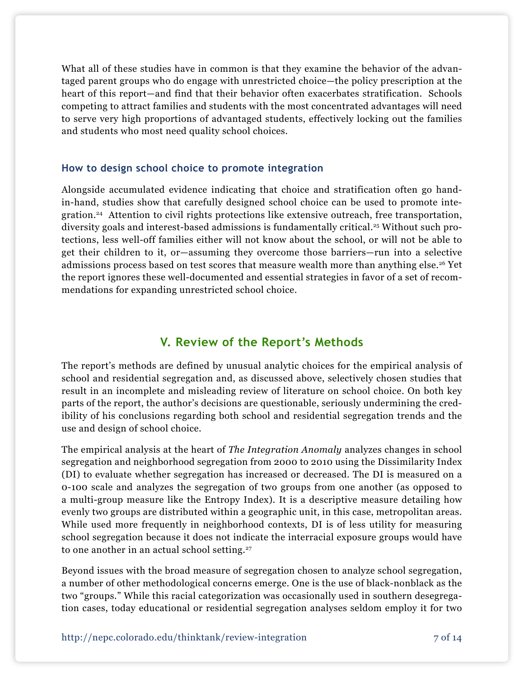What all of these studies have in common is that they examine the behavior of the advantaged parent groups who do engage with unrestricted choice—the policy prescription at the heart of this report—and find that their behavior often exacerbates stratification. Schools competing to attract families and students with the most concentrated advantages will need to serve very high proportions of advantaged students, effectively locking out the families and students who most need quality school choices.

#### **How to design school choice to promote integration**

Alongside accumulated evidence indicating that choice and stratification often go handin-hand, studies show that carefully designed school choice can be used to promote integration.24 Attention to civil rights protections like extensive outreach, free transportation, diversity goals and interest-based admissions is fundamentally critical.25 Without such protections, less well-off families either will not know about the school, or will not be able to get their children to it, or—assuming they overcome those barriers—run into a selective admissions process based on test scores that measure wealth more than anything else.<sup>26</sup> Yet the report ignores these well-documented and essential strategies in favor of a set of recommendations for expanding unrestricted school choice.

# **V. Review of the Report's Methods**

The report's methods are defined by unusual analytic choices for the empirical analysis of school and residential segregation and, as discussed above, selectively chosen studies that result in an incomplete and misleading review of literature on school choice. On both key parts of the report, the author's decisions are questionable, seriously undermining the credibility of his conclusions regarding both school and residential segregation trends and the use and design of school choice.

The empirical analysis at the heart of *The Integration Anomaly* analyzes changes in school segregation and neighborhood segregation from 2000 to 2010 using the Dissimilarity Index (DI) to evaluate whether segregation has increased or decreased. The DI is measured on a 0-100 scale and analyzes the segregation of two groups from one another (as opposed to a multi-group measure like the Entropy Index). It is a descriptive measure detailing how evenly two groups are distributed within a geographic unit, in this case, metropolitan areas. While used more frequently in neighborhood contexts, DI is of less utility for measuring school segregation because it does not indicate the interracial exposure groups would have to one another in an actual school setting.<sup>27</sup>

Beyond issues with the broad measure of segregation chosen to analyze school segregation, a number of other methodological concerns emerge. One is the use of black-nonblack as the two "groups." While this racial categorization was occasionally used in southern desegregation cases, today educational or residential segregation analyses seldom employ it for two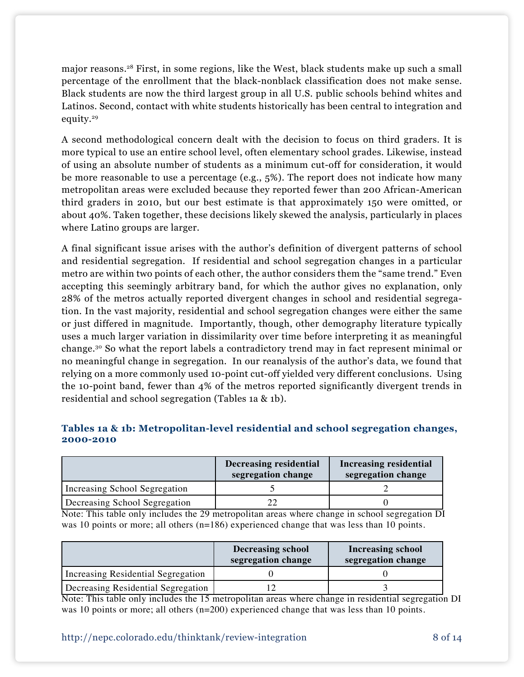major reasons.28 First, in some regions, like the West, black students make up such a small percentage of the enrollment that the black-nonblack classification does not make sense. Black students are now the third largest group in all U.S. public schools behind whites and Latinos. Second, contact with white students historically has been central to integration and equity.29

A second methodological concern dealt with the decision to focus on third graders. It is more typical to use an entire school level, often elementary school grades. Likewise, instead of using an absolute number of students as a minimum cut-off for consideration, it would be more reasonable to use a percentage (e.g.,  $5\%$ ). The report does not indicate how many metropolitan areas were excluded because they reported fewer than 200 African-American third graders in 2010, but our best estimate is that approximately 150 were omitted, or about 40%. Taken together, these decisions likely skewed the analysis, particularly in places where Latino groups are larger.

A final significant issue arises with the author's definition of divergent patterns of school and residential segregation. If residential and school segregation changes in a particular metro are within two points of each other, the author considers them the "same trend." Even accepting this seemingly arbitrary band, for which the author gives no explanation, only 28% of the metros actually reported divergent changes in school and residential segregation. In the vast majority, residential and school segregation changes were either the same or just differed in magnitude. Importantly, though, other demography literature typically uses a much larger variation in dissimilarity over time before interpreting it as meaningful change.30 So what the report labels a contradictory trend may in fact represent minimal or no meaningful change in segregation. In our reanalysis of the author's data, we found that relying on a more commonly used 10-point cut-off yielded very different conclusions. Using the 10-point band, fewer than 4% of the metros reported significantly divergent trends in residential and school segregation (Tables 1a & 1b).

|                  | $\overline{\phantom{a}}$ | . | $\overline{\phantom{0}}$ |           | $\sim$ $\sim$<br>. |  |
|------------------|--------------------------|---|--------------------------|-----------|--------------------|--|
|                  |                          |   |                          |           |                    |  |
| ___<br>2000-2010 |                          |   |                          | __<br>___ |                    |  |

**Tables 1a & 1b: Metropolitan-level residential and school segregation changes,** 

|                               | Decreasing residential<br>segregation change | <b>Increasing residential</b><br>segregation change |
|-------------------------------|----------------------------------------------|-----------------------------------------------------|
| Increasing School Segregation |                                              |                                                     |
| Decreasing School Segregation |                                              |                                                     |

Note: This table only includes the 29 metropolitan areas where change in school segregation DI was 10 points or more; all others (n=186) experienced change that was less than 10 points.

|                                    | <b>Decreasing school</b><br>segregation change | <b>Increasing school</b><br>segregation change |
|------------------------------------|------------------------------------------------|------------------------------------------------|
| Increasing Residential Segregation |                                                |                                                |
| Decreasing Residential Segregation |                                                |                                                |

Note: This table only includes the 15 metropolitan areas where change in residential segregation DI was 10 points or more; all others (n=200) experienced change that was less than 10 points.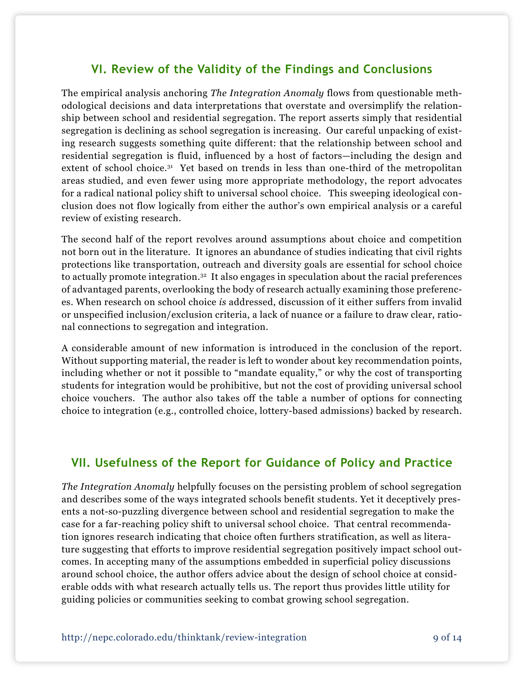# **VI. Review of the Validity of the Findings and Conclusions**

The empirical analysis anchoring *The Integration Anomaly* flows from questionable methodological decisions and data interpretations that overstate and oversimplify the relationship between school and residential segregation. The report asserts simply that residential segregation is declining as school segregation is increasing. Our careful unpacking of existing research suggests something quite different: that the relationship between school and residential segregation is fluid, influenced by a host of factors—including the design and extent of school choice.<sup>31</sup> Yet based on trends in less than one-third of the metropolitan areas studied, and even fewer using more appropriate methodology, the report advocates for a radical national policy shift to universal school choice. This sweeping ideological conclusion does not flow logically from either the author's own empirical analysis or a careful review of existing research.

The second half of the report revolves around assumptions about choice and competition not born out in the literature. It ignores an abundance of studies indicating that civil rights protections like transportation, outreach and diversity goals are essential for school choice to actually promote integration.<sup>32</sup> It also engages in speculation about the racial preferences of advantaged parents, overlooking the body of research actually examining those preferences. When research on school choice *is* addressed, discussion of it either suffers from invalid or unspecified inclusion/exclusion criteria, a lack of nuance or a failure to draw clear, rational connections to segregation and integration.

A considerable amount of new information is introduced in the conclusion of the report. Without supporting material, the reader is left to wonder about key recommendation points, including whether or not it possible to "mandate equality," or why the cost of transporting students for integration would be prohibitive, but not the cost of providing universal school choice vouchers. The author also takes off the table a number of options for connecting choice to integration (e.g., controlled choice, lottery-based admissions) backed by research.

### **VII. Usefulness of the Report for Guidance of Policy and Practice**

*The Integration Anomaly* helpfully focuses on the persisting problem of school segregation and describes some of the ways integrated schools benefit students. Yet it deceptively presents a not-so-puzzling divergence between school and residential segregation to make the case for a far-reaching policy shift to universal school choice. That central recommendation ignores research indicating that choice often furthers stratification, as well as literature suggesting that efforts to improve residential segregation positively impact school outcomes. In accepting many of the assumptions embedded in superficial policy discussions around school choice, the author offers advice about the design of school choice at considerable odds with what research actually tells us. The report thus provides little utility for guiding policies or communities seeking to combat growing school segregation.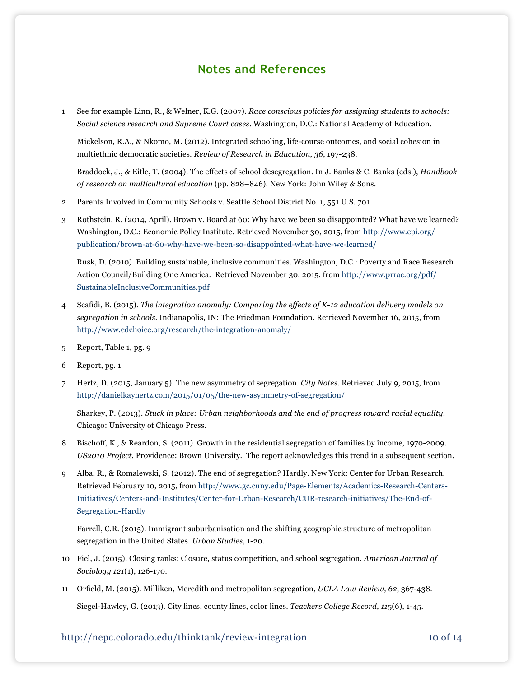## **Notes and References**

1 See for example Linn, R., & Welner, K.G. (2007). *Race conscious policies for assigning students to schools: Social science research and Supreme Court cases*. Washington, D.C.: National Academy of Education.

Mickelson, R.A., & Nkomo, M. (2012). Integrated schooling, life-course outcomes, and social cohesion in multiethnic democratic societies. *Review of Research in Education, 36*, 197-238.

 Braddock, J., & Eitle, T. (2004). The effects of school desegregation. In J. Banks & C. Banks (eds.), *Handbook of research on multicultural education* (pp. 828–846). New York: John Wiley & Sons.

- 2 Parents Involved in Community Schools v. Seattle School District No. 1, 551 U.S. 701
- 3 Rothstein, R. (2014, April). Brown v. Board at 60: Why have we been so disappointed? What have we learned? Washington, D.C.: Economic Policy Institute. Retrieved November 30, 2015, from [http://www.epi.org/](http://www.epi.org/publication/brown-at-60-why-have-we-been-so-disappointed-what-have-we-learned/) [publication/brown-at-60-why-have-we-been-so-disappointed-what-have-we-learned/](http://www.epi.org/publication/brown-at-60-why-have-we-been-so-disappointed-what-have-we-learned/)

Rusk, D. (2010). Building sustainable, inclusive communities. Washington, D.C.: Poverty and Race Research Action Council/Building One America. Retrieved November 30, 2015, from http://www.prrac.org/pdf/ SustainableInclusiveCommunities.pdf

- 4 Scafidi, B. (2015). *The integration anomaly: Comparing the effects of K-12 education delivery models on segregation in schools.* Indianapolis, IN: The Friedman Foundation. Retrieved November 16, 2015, from http://www.edchoice.org/research/the-integration-anomaly/
- 5 Report, Table 1, pg. 9
- 6 Report, pg. 1
- 7 Hertz, D. (2015, January 5). The new asymmetry of segregation. *City Notes*. Retrieved July 9, 2015, from <http://danielkayhertz.com/2015/01/05/the-new-asymmetry-of-segregation/>

Sharkey, P. (2013). *Stuck in place: Urban neighborhoods and the end of progress toward racial equality.* Chicago: University of Chicago Press.

- 8 Bischoff, K., & Reardon, S. (2011). Growth in the residential segregation of families by income, 1970-2009. *US2010 Project.* Providence: Brown University. The report acknowledges this trend in a subsequent section.
- 9 Alba, R., & Romalewski, S. (2012). The end of segregation? Hardly. New York: Center for Urban Research. Retrieved February 10, 2015, from [http://www.gc.cuny.edu/Page-Elements/Academics-Research-Centers-](http://www.gc.cuny.edu/Page-Elements/Academics-Research-Centers-Initiatives/Centers-and-Institutes/Center-for-Urban-Research/CUR-research-initiatives/The-End-of-Segregation-Hardly)[Initiatives/Centers-and-Institutes/Center-for-Urban-Research/CUR-research-initiatives/The-End-of-](http://www.gc.cuny.edu/Page-Elements/Academics-Research-Centers-Initiatives/Centers-and-Institutes/Center-for-Urban-Research/CUR-research-initiatives/The-End-of-Segregation-Hardly)[Segregation-Hardly](http://www.gc.cuny.edu/Page-Elements/Academics-Research-Centers-Initiatives/Centers-and-Institutes/Center-for-Urban-Research/CUR-research-initiatives/The-End-of-Segregation-Hardly)

Farrell, C.R. (2015). Immigrant suburbanisation and the shifting geographic structure of metropolitan segregation in the United States. *Urban Studies*, 1-20.

- 10 Fiel, J. (2015). Closing ranks: Closure, status competition, and school segregation. *American Journal of Sociology 121*(1), 126-170.
- 11 Orfield, M. (2015). Milliken, Meredith and metropolitan segregation, *UCLA Law Review, 62*, 367-438. Siegel-Hawley, G. (2013). City lines, county lines, color lines. *Teachers College Record*, *11*5(6), 1-45.

#### http://nepc.colorado.edu/thinktank/review-integration 10 of 14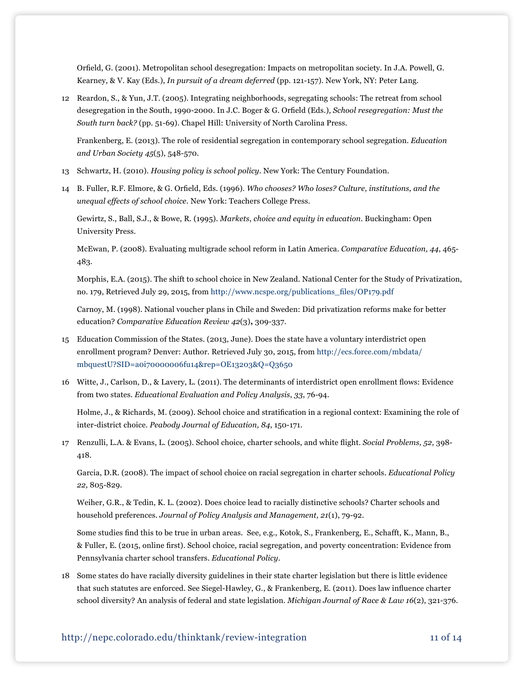Orfield, G. (2001). Metropolitan school desegregation: Impacts on metropolitan society. In J.A. Powell, G. Kearney, & V. Kay (Eds.), *In pursuit of a dream deferred* (pp. 121-157). New York, NY: Peter Lang.

12 Reardon, S., & Yun, J.T. (2005). Integrating neighborhoods, segregating schools: The retreat from school desegregation in the South, 1990-2000. In J.C. Boger & G. Orfield (Eds.), *School resegregation: Must the South turn back?* (pp. 51-69). Chapel Hill: University of North Carolina Press.

Frankenberg, E. (2013). The role of residential segregation in contemporary school segregation. *Education and Urban Society 45*(5), 548-570*.* 

- 13 Schwartz, H. (2010). *Housing policy is school policy*. New York: The Century Foundation.
- 14 B. Fuller, R.F. Elmore, & G. Orfield, Eds. (1996). *Who chooses? Who loses? Culture, institutions, and the unequal effects of school choice*. New York: Teachers College Press.

Gewirtz, S., Ball, S.J., & Bowe, R. (1995). *Markets*, *choice and equity in education*. Buckingham: Open University Press.

McEwan, P. (2008). Evaluating multigrade school reform in Latin America. *Comparative Education, 44*, 465- 483.

Morphis, E.A. (2015). The shift to school choice in New Zealand. National Center for the Study of Privatization, no. 179, Retrieved July 29, 2015, from http://www.ncspe.org/publications\_files/OP179.pdf

Carnoy, M. (1998). National voucher plans in Chile and Sweden: Did privatization reforms make for better education? *Comparative Education Review 42*(3)**,** 309-337.

- 15 Education Commission of the States. (2013, June). Does the state have a voluntary interdistrict open enrollment program? Denver: Author. Retrieved July 30, 2015, from http://ecs.force.com/mbdata/ mbquestU?SID=a0i70000006fu14&rep=OE13203&Q=Q3650
- 16 Witte, J., Carlson, D., & Lavery, L. (2011). The determinants of interdistrict open enrollment flows: Evidence from two states. *Educational Evaluation and Policy Analysis*, *33*, 76-94.

 Holme, J., & Richards, M. (2009). School choice and stratification in a regional context: Examining the role of inter-district choice. *Peabody Journal of Education, 84*, 150-171.

17 Renzulli, L.A. & Evans, L. (2005). School choice, charter schools, and white flight. *Social Problems, 52,* 398- 418.

Garcia, D.R. (2008). The impact of school choice on racial segregation in charter schools. *Educational Policy 22,* 805-829.

Weiher, G.R., & Tedin, K. L. (2002). Does choice lead to racially distinctive schools? Charter schools and household preferences. *Journal of Policy Analysis and Management, 21*(1), 79-92.

 Some studies find this to be true in urban areas. See, e.g., Kotok, S., Frankenberg, E., Schafft, K., Mann, B., & Fuller, E. (2015, online first). School choice, racial segregation, and poverty concentration: Evidence from Pennsylvania charter school transfers. *Educational Policy*.

18 Some states do have racially diversity guidelines in their state charter legislation but there is little evidence that such statutes are enforced. See Siegel-Hawley, G., & Frankenberg, E. (2011). Does law influence charter school diversity? An analysis of federal and state legislation. *Michigan Journal of Race & Law 16*(2), 321-376.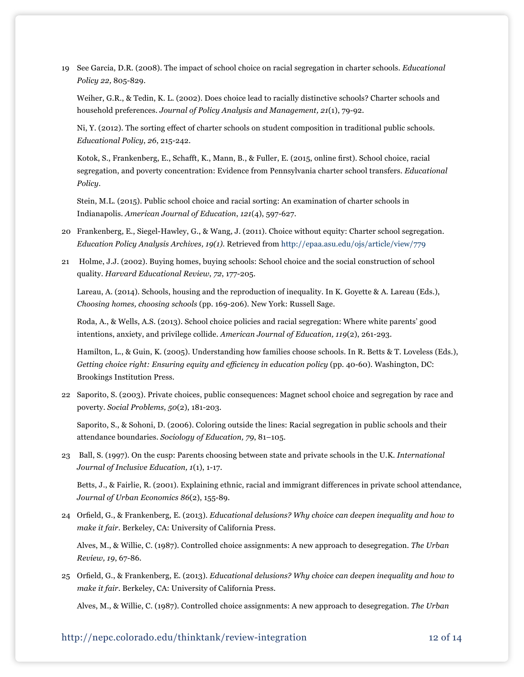19 See Garcia, D.R. (2008). The impact of school choice on racial segregation in charter schools. *Educational Policy 22,* 805-829.

Weiher, G.R., & Tedin, K. L. (2002). Does choice lead to racially distinctive schools? Charter schools and household preferences. *Journal of Policy Analysis and Management, 21*(1), 79-92.

 Ni, Y. (2012). The sorting effect of charter schools on student composition in traditional public schools. *Educational Policy*, *26*, 215-242.

 Kotok, S., Frankenberg, E., Schafft, K., Mann, B., & Fuller, E. (2015, online first). School choice, racial segregation, and poverty concentration: Evidence from Pennsylvania charter school transfers. *Educational Policy*.

Stein, M.L. (2015). Public school choice and racial sorting: An examination of charter schools in Indianapolis. *American Journal of Education*, *121*(4), 597-627.

- 20 Frankenberg, E., Siegel-Hawley, G., & Wang, J. (2011). Choice without equity: Charter school segregation. *Education Policy Analysis Archives, 19(1).* Retrieved from http://epaa.asu.edu/ojs/article/view/779
- 21 Holme, J.J. (2002). Buying homes, buying schools: School choice and the social construction of school quality. *Harvard Educational Review*, *72*, 177-205.

Lareau, A. (2014). Schools, housing and the reproduction of inequality. In K. Goyette & A. Lareau (Eds.), *Choosing homes, choosing schools* (pp. 169-206). New York: Russell Sage.

Roda, A., & Wells, A.S. (2013). School choice policies and racial segregation: Where white parents' good intentions, anxiety, and privilege collide. *American Journal of Education, 119*(2), 261-293.

Hamilton, L., & Guin, K. (2005). Understanding how families choose schools. In R. Betts & T. Loveless (Eds.), *Getting choice right: Ensuring equity and efficiency in education policy* (pp. 40-60). Washington, DC: Brookings Institution Press.

22 Saporito, S. (2003). Private choices, public consequences: Magnet school choice and segregation by race and poverty. *Social Problems, 50*(2), 181-203.

Saporito, S., & Sohoni, D. (2006). Coloring outside the lines: Racial segregation in public schools and their attendance boundaries. *Sociology of Education, 79*, 81–105.

23 Ball, S. (1997). On the cusp: Parents choosing between state and private schools in the U.K. *International Journal of Inclusive Education, 1*(1), 1-17.

 Betts, J., & Fairlie, R. (2001). Explaining ethnic, racial and immigrant differences in private school attendance, *Journal of Urban Economics 86*(2), 155-89.

24 Orfield, G., & Frankenberg, E. (2013). *Educational delusions? Why choice can deepen inequality and how to make it fair.* Berkeley, CA: University of California Press.

Alves, M., & Willie, C. (1987). Controlled choice assignments: A new approach to desegregation. *The Urban Review, 19*, 67-86.

25 Orfield, G., & Frankenberg, E. (2013). *Educational delusions? Why choice can deepen inequality and how to make it fair.* Berkeley, CA: University of California Press.

Alves, M., & Willie, C. (1987). Controlled choice assignments: A new approach to desegregation. *The Urban*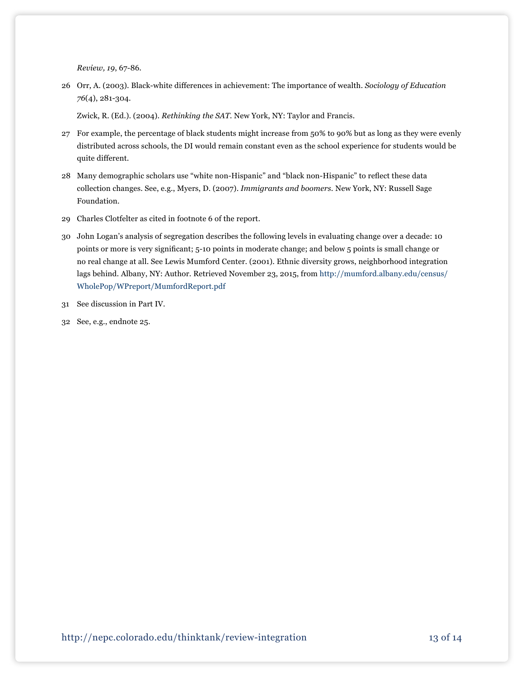*Review, 19*, 67-86*.*

26 Orr, A. (2003). Black-white differences in achievement: The importance of wealth. *Sociology of Education 76*(4), 281-304.

Zwick, R. (Ed.). (2004). *Rethinking the SAT.* New York, NY: Taylor and Francis.

- 27 For example, the percentage of black students might increase from 50% to 90% but as long as they were evenly distributed across schools, the DI would remain constant even as the school experience for students would be quite different.
- 28 Many demographic scholars use "white non-Hispanic" and "black non-Hispanic" to reflect these data collection changes. See, e.g., Myers, D. (2007). *Immigrants and boomers.* New York, NY: Russell Sage Foundation.
- 29 Charles Clotfelter as cited in footnote 6 of the report.
- 30 John Logan's analysis of segregation describes the following levels in evaluating change over a decade: 10 points or more is very significant; 5-10 points in moderate change; and below 5 points is small change or no real change at all. See Lewis Mumford Center. (2001). Ethnic diversity grows, neighborhood integration lags behind. Albany, NY: Author. Retrieved November 23, 2015, from [http://mumford.albany.edu/census/](http://mumford.albany.edu/census/WholePop/WPreport/MumfordReport.pdf) [WholePop/WPreport/MumfordReport.pdf](http://mumford.albany.edu/census/WholePop/WPreport/MumfordReport.pdf)
- 31 See discussion in Part IV.
- 32 See, e.g., endnote 25.